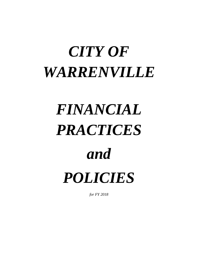# *CITY OF WARRENVILLE*

# *FINANCIAL PRACTICES*

# *and*

*POLICIES*

*for FY 2018*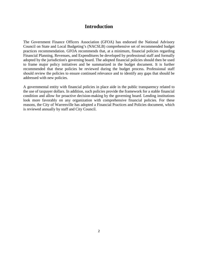# **Introduction**

The Government Finance Officers Association (GFOA) has endorsed the National Advisory Council on State and Local Budgeting's (NACSLB) comprehensive set of recommended budget practices recommendation. GFOA recommends that, at a minimum, financial policies regarding Financial Planning, Revenues, and Expenditures be developed by professional staff and formally adopted by the jurisdiction's governing board. The adopted financial policies should then be used to frame major policy initiatives and be summarized in the budget document. It is further recommended that these policies be reviewed during the budget process. Professional staff should review the policies to ensure continued relevance and to identify any gaps that should be addressed with new policies.

A governmental entity with financial policies in place aide in the public transparency related to the use of taxpayer dollars. In addition, such policies provide the framework for a stable financial condition and allow for proactive decision-making by the governing board. Lending institutions look more favorably on any organization with comprehensive financial policies. For these reasons, the City of Warrenville has adopted a Financial Practices and Policies document, which is reviewed annually by staff and City Council.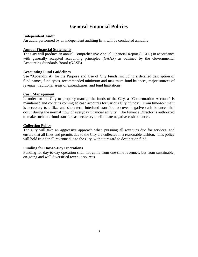# **General Financial Policies**

#### **Independent Audit**

An audit, performed by an independent auditing firm will be conducted annually.

#### **Annual Financial Statements**

The City will produce an annual Comprehensive Annual Financial Report (CAFR) in accordance with generally accepted accounting principles (GAAP) as outlined by the Governmental Accounting Standards Board (GASB).

#### **Accounting Fund Guidelines**

See "Appendix A" for the Purpose and Use of City Funds, including a detailed description of fund names, fund types, recommended minimum and maximum fund balances, major sources of revenue, traditional areas of expenditures, and fund limitations.

#### **Cash Management**

In order for the City to properly manage the funds of the City, a "Concentration Account" is maintained and contains comingled cash accounts for various City "funds". From time-to-time it is necessary to utilize and short-term interfund transfers to cover negative cash balances that occur during the normal flow of everyday financial activity. The Finance Director is authorized to make such interfund transfers as necessary to eliminate negative cash balances.

#### **Collection Policy**

The City will take an aggressive approach when pursuing all revenues due for services, and ensure that all fines and permits due to the City are collected in a reasonable fashion. This policy will hold true for all revenue due to the City, without regard to destination fund.

#### **Funding for Day-to-Day Operations**

Funding for day-to-day operation shall not come from one-time revenues, but from sustainable, on-going and well diversified revenue sources.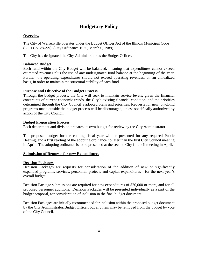# **Budgetary Policy**

#### **Overview**

The City of Warrenville operates under the Budget Officer Act of the Illinois Municipal Code (65 ILCS 5/8-2-9). (City Ordinance 1025, March 6, 1989)

The City has designated the City Administrator as the Budget Officer.

#### **Balanced Budget**

Each fund within the City Budget will be balanced, meaning that expenditures cannot exceed estimated revenues plus the use of any undesignated fund balance at the beginning of the year. Further, the operating expenditures should not exceed operating revenues, on an annualized basis, in order to maintain the structural stability of each fund.

#### **Purpose and Objective of the Budget Process**

Through the budget process, the City will seek to maintain service levels, given the financial constraints of current economic trends, the City's existing financial condition, and the priorities determined through the City Council's adopted plans and priorities. Requests for new, on-going programs made outside the budget process will be discouraged, unless specifically authorized by action of the City Council.

#### **Budget Preparation Process**

Each department and division prepares its own budget for review by the City Administrator.

The proposed budget for the coming fiscal year will be presented for any required Public Hearing, and a first reading of the adopting ordinance no later than the first City Council meeting in April. The adopting ordinance is to be presented at the second City Council meeting in April.

#### **Submission of Requests for new Expenditures**

#### **Decision Packages**

Decision Packages are requests for consideration of the addition of new or significantly expanded programs, services, personnel, projects and capital expenditures for the next year's overall budget.

Decision Package submissions are required for new expenditures of \$20,000 or more, and for all proposed personnel additions. Decision Packages will be presented individually as a part of the budget proposal, for consideration of inclusion in the final budget document.

Decision Packages are initially recommended for inclusion within the proposed budget document by the City Administrator/Budget Officer, but any item may be removed from the budget by vote of the City Council.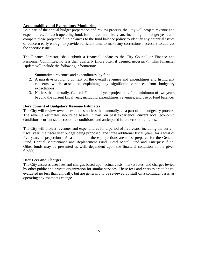#### **Accountability and Expenditure Monitoring**

As a part of the annual budget preparation and review process, the City will project revenue and expenditures, for each operating fund, for no less than five years, including the budget year, and compare those projected fund balances to the fund balance policy to identify any potential issues of concern early enough to provide sufficient time to make any corrections necessary to address the specific issue.

The Finance Director, shall submit a financial update to the City Council or Finance and Personnel Committee, no less than quarterly (more often if deemed necessary). This Financial Update will include the following information:

- 1. Summarized revenues and expenditures, by fund
- 2. A narrative providing context on the overall revenues and expenditures and listing any concerns which arise and explaining any significant variances from budgetary expectations.
- 3. No less than annually, General Fund multi-year projections, for a minimum of two years beyond the current fiscal year, including expenditures, revenues, and use of fund balance.

#### **Development of Budgetary Revenue Estimates**

The City will review revenue estimates no less than annually, as a part of the budgetary process. The revenue estimates should be based, in part, on past experience, current local economic conditions, current state economic conditions, and anticipated future economic trends.

The City will project revenues and expenditures for a period of five years, including the current fiscal year, the fiscal year budget being proposed, and three additional fiscal years, for a total of five years of projections. At a minimum, these projections are to be prepared for the General Fund, Capital Maintenance and Replacement Fund, Hotel Motel Fund and Enterprise fund. Other funds may be presented as well, dependent upon the financial condition of the given  $fund(s)$ .

#### **User Fees and Charges**

The City assesses user fees and charges based upon actual costs, market rates, and charges levied by other public and private organization for similar services. These fees and charges are to be reevaluated no less than annually, but are generally to be reviewed by staff on a continual basis, as operating environments change.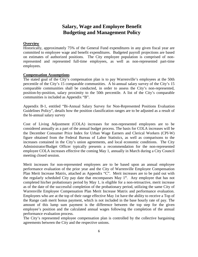# **Salary, Wage and Employee Benefit Budgeting and Management Policy**

#### **Overview**

Historically, approximately 75% of the General Fund expenditures in any given fiscal year are committed to employee wage and benefit expenditures. Budgeted payroll projections are based on estimates of authorized positions. The City employee population is comprised of nonrepresented and represented full-time employees, as well as non-represented part-time employees.

#### **Compensation Assumptions**

The stated goal of the City's compensation plan is to pay Warrenville's employees at the 50th percentile of the City's 15 comparable communities. A bi-annual salary survey of the City's 15 comparable communities shall be conducted, in order to assess the City's non-represented, position-by-position, salary proximity to the 50th percentile. A list of the City's comparable communities is included as Appendix "B".

Appendix B-1, entitled "Bi-Annual Salary Survey for Non-Represented Positions Evaluation Guidelines Policy", details how the position classification ranges are to be adjusted as a result of the bi-annual salary survey

Cost of Living Adjustment (COLA) increases for non-represented employees are to be considered annually as a part of the annual budget process. The basis for COLA increases will be the December Consumer Price Index for Urban Wage Earners and Clerical Workers (CPI-W) figure obtained from the Federal Bureau of Labor Statistics, as well as comparisons to the increases contained in the City's union agreements, and local economic conditions. The City Administrator/Budget Officer typically presents a recommendation for the non-represented employee COLA increases effective the coming May 1, annually in March during a City Council meeting closed session.

Merit increases for non-represented employees are to be based upon an annual employee performance evaluation of the prior year and the City of Warrenville Employee Compensation Plan Merit Increase Matrix, attached as Appendix "C". Merit increases are to be paid out with the regularly scheduled City pay date that encompasses May  $1<sup>st</sup>$ . Any employee that has not completed his/her probationary period by May 1, is eligible for a non-retroactive, merit increase as of the date of the successful completion of the probationary period, utilizing the same City of Warrenville Employee Compensation Plan Merit Increase Matrix and performance evaluation. Employees who are at the top of their range effective May 1st have the ability to receive a Top of the Range cash merit bonus payment, which is not included in the base hourly rate of pay. The amount of this lump sum payment is the difference between the top step for the given employee's position and the calculated annual wages following the completion of the annual performance evaluation process.

The City's represented employee compensation plan is controlled by the collective bargaining agreements between the City and the respective unions.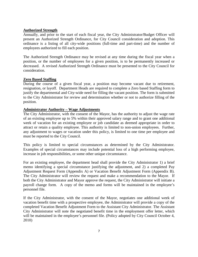#### **Authorized Strength**

Annually, and prior to the start of each fiscal year, the City Administrator/Budget Officer will present an Authorized Strength Ordinance, for City Council consideration and adoption. This ordinance is a listing of all city-wide positions (full-time and part-time) and the number of employees authorized to fill each position.

The Authorized Strength Ordinance may be revised at any time during the fiscal year when a position, or the number of employees for a given position, is to be permanently increased or decreased. A revised Authorized Strength Ordinance must be presented to the City Council for consideration.

#### **Zero Based Staffing**

During the course of a given fiscal year, a position may become vacant due to retirement, resignation, or layoff. Department Heads are required to complete a Zero based Staffing form to justify the departmental and City-wide need for filling the vacant position. The form is submitted to the City Administrator for review and determination whether or not to authorize filling of the position.

#### **Administrator Authority – Wage Adjustments**

The City Administrator, with the consent of the Mayor, has the authority to adjust the wage rate of an existing employee up to 5% within their approved salary range and to grant one additional week of vacation for an existing employee or job candidate as deemed appropriate in order to attract or retain a quality employee. This authority is limited to non-union employees. Further, any adjustment to wages or vacation under this policy, is limited to one time per employee and must be reported to the City Council.

This policy is limited to special circumstances as determined by the City Administrator. Examples of special circumstances may include potential loss of a high performing employee, increase in job responsibilities, or some other unique circumstance.

For an existing employee, the department head shall provide the City Administrator 1) a brief memo identifying a special circumstance justifying the adjustment, and 2) a completed Pay Adjustment Request Form (Appendix A) or Vacation Benefit Adjustment Form (Appendix B). The City Administrator will review the request and make a recommendation to the Mayor. If both the City Administrator and Mayor approve the request, the City Administrator will initiate a payroll change form. A copy of the memo and forms will be maintained in the employee's personnel file.

If the City Administrator, with the consent of the Mayor, negotiates one additional week of vacation benefit time with a prospective employee, the Administrator will provide a copy of the completed Vacation Benefit Adjustment Form to the Assistant City Administrator. The Assistant City Administrator will note the negotiated benefit time in the employment offer letter, which will be maintained in the employee's personnel file. (Policy adopted by City Council October 4, 2010)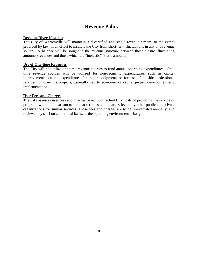# **Revenue Policy**

#### **Revenue Diversification**

The City of Warrenville will maintain a diversified and stable revenue stream, to the extent provided by law, in an effort to insulate the City from short-term fluctuations in any one revenue source. A balance will be sought in the revenue structure between those elastic (fluctuating amounts) revenues and those which are "inelastic" (static amounts).

#### **Use of One-time Revenues**

The City will not utilize one-time revenue sources to fund annual operating expenditures. Onetime revenue sources will be utilized for non-recurring expenditures, such as capital improvements, capital expenditures for major equipment, or for use of outside professional services for one-time projects, generally tied to economic or capital project development and implementation.

#### **User Fees and Charges**

The City assesses user fees and charges based upon actual City costs of providing the service or program, with a comparison to the market rates, and charges levied by other public and private organizations for similar services. These fees and charges are to be re-evaluated annually, and reviewed by staff on a continual basis, as the operating environments change.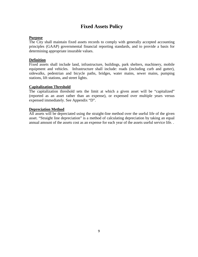# **Fixed Assets Policy**

#### **Purpose**

The City shall maintain fixed assets records to comply with generally accepted accounting principles (GAAP) governmental financial reporting standards, and to provide a basis for determining appropriate insurable values.

#### **Definition**

Fixed assets shall include land, infrastructure, buildings, park shelters, machinery, mobile equipment and vehicles. Infrastructure shall include: roads (including curb and gutter), sidewalks, pedestrian and bicycle paths, bridges, water mains, sewer mains, pumping stations, lift stations, and street lights.

#### **Capitalization Threshold**

The capitalization threshold sets the limit at which a given asset will be "capitalized" (reported as an asset rather than an expense), or expensed over multiple years versus expensed immediately. See Appendix "D".

#### **Depreciation Method**

All assets will be depreciated using the straight-line method over the useful life of the given asset. "Straight line depreciation" is a method of calculating depreciation by taking an equal annual amount of the assets cost as an expense for each year of the assets useful service life. .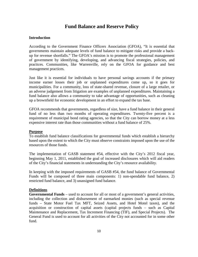### **Fund Balance and Reserve Policy**

#### **Introduction**

According to the Government Finance Officers Association (GFOA), "It is essential that governments maintain adequate levels of fund balance to mitigate risks and provide a backup for revenue shortfalls." The GFOA's mission is to promote the professional management of government by identifying, developing, and advancing fiscal strategies, policies, and practices. Communities, like Warrenville, rely on the GFOA for guidance and best management practices.

Just like it is essential for individuals to have personal savings accounts if the primary income earner losses their job or unplanned expenditures come up, so it goes for municipalities. For a community, loss of state-shared revenue, closure of a large retailer, or an adverse judgement from litigation are examples of unplanned expenditures. Maintaining a fund balance also allows a community to take advantage of opportunities, such as cleaning up a brownfield for economic development in an effort to expand the tax base.

GFOA recommends that governments, regardless of size, have a fund balance in their general fund of no less than two months of operating expenditures. Twenty-five percent is a requirement of municipal bond rating agencies, so that the City can borrow money at a less expensive interest rate than those communities without a fund balance of 25%.

#### **Purpose**

To establish fund balance classifications for governmental funds which establish a hierarchy based upon the extent to which the City must observe constraints imposed upon the use of the resources of those funds.

The implementation of GASB statement #54, effective with the City's 2012 fiscal year, beginning May 1, 2011, established the goal of increased disclosures which will aid readers of the City's financial statements in understanding the City's resource availability.

In keeping with the imposed requirements of GASB #54, the fund balance of Governmental Funds will be composed of three main components: 1) non-spendable fund balance, 2) restricted fund balance, and 3) unassigned fund balance.

#### **Definitions**

**Governmental Funds** – used to account for all or most of a government's general activities, including the collection and disbursement of earmarked monies (such as special revenue funds – State Motor Fuel Tax MFT, Seized Assets, and Hotel Motel taxes), and the acquisition or construction of capital assets (capital projects funds – such as Capital Maintenance and Replacement, Tax Increment Financing (TIF), and Special Projects). The General Fund is used to account for all activities of the City not accounted for in some other fund.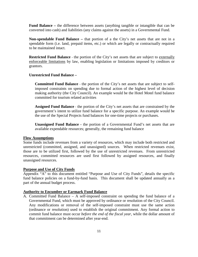**Fund Balance –** the difference between assets (anything tangible or intangible that can be converted into cash) and liabilities (any claims against the assets) in a Governmental Fund.

**Non-spendable Fund Balance –** that portion of a the City's net assets that are not in a spendable form (i.e. land, prepaid items, etc.) or which are legally or contractually required to be maintained intact.

**Restricted Fund Balance** - the portion of the City's net assets that are subject to externally enforceable limitations by law, enabling legislation or limitations imposed by creditors or grantors.

#### **Unrestricted Fund Balance –**

**Committed Fund Balance** - the portion of the City's net assets that are subject to selfimposed constraints on spending due to formal action of the highest level of decision making authority (the City Council). An example would be the Hotel Motel fund balance committed for tourism related activities

**Assigned Fund Balance** - the portion of the City's net assets that are constrained by the government's intent to utilize fund balance for a specific purpose. An example would be the use of the Special Projects fund balances for one-time projects or purchases.

**Unassigned Fund Balance -** the portion of a Governmental Fund's net assets that are available expendable resources; generally, the remaining fund balance

#### **Flow Assumptions**

Some funds include revenues from a variety of resources, which may include both restricted and unrestricted (committed, assigned, and unassigned) sources. When restricted revenues exist, those are to be utilized first, followed by the use of unrestricted revenues. From unrestricted resources, committed resources are used first followed by assigned resources, and finally unassigned resources.

#### **Purpose and Use of City Funds**

Appendix "A" to this document entitled "Purpose and Use of City Funds", details the specific fund balance policies on a fund-by-fund basis. This document shall be updated annually as a part of the annual budget process.

#### **Authority to Encumber or Earmark Fund Balance**

A. Committed Fund Balance – A self-imposed constraint on spending the fund balance of a Governmental Fund, which must be approved by ordinance or resolution of the City Council. Any modifications or removal of the self-imposed constraint must use the same action (ordinance or resolution) used to establish the original commitment. Any formal action to commit fund balance must occur *before the end of the fiscal year*, while the dollar amount of that commitment can be determined after year-end.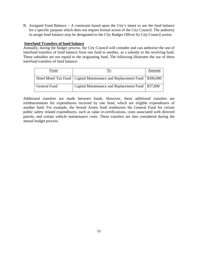B. Assigned Fund Balance – A constraint based upon the City's intent to use the fund balance for a specific purpose which does not require formal action of the City Council. The authority to assign fund balance may be designated to the City Budget Officer by City Council action.

#### **Interfund Transfers of fund balance**

Annually, during the budget process, the City Council will consider and can authorize the use of interfund transfers of fund balance from one fund to another, as a subsidy to the receiving fund. These subsidies are not repaid to the originating fund. The following illustrates the use of these interfund transfers of fund balance:

| From                |                                                                             | Amount |
|---------------------|-----------------------------------------------------------------------------|--------|
|                     | Hotel Motel Tax Fund   Capital Maintenance and Replacement Fund   \$300,000 |        |
| <b>General Fund</b> | Capital Maintenance and Replacement Fund   \$37,000                         |        |

Additional transfers are made between funds. However, these additional transfers are reimbursements for expenditures incurred by one fund, which are eligible expenditures of another fund. For example, the Seized Assets fund reimburses the General Fund for certain public safety related expenditures, such as radar re-certifications, costs associated with directed patrols, and certain vehicle maintenance costs. These transfers are also considered during the annual budget process.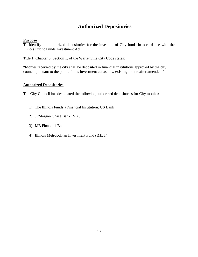# **Authorized Depositories**

#### **Purpose**

To identify the authorized depositories for the investing of City funds in accordance with the Illinois Public Funds Investment Act.

Title 1, Chapter 8, Section 1, of the Warrenville City Code states:

"Monies received by the city shall be deposited in financial institutions approved by the city council pursuant to the public funds investment act as now existing or hereafter amended."

#### **Authorized Depositories**

The City Council has designated the following authorized depositories for City monies:

- 1) The Illinois Funds (Financial Institution: US Bank)
- 2) JPMorgan Chase Bank, N.A.
- 3) MB Financial Bank
- 4) Illinois Metropolitan Investment Fund (IMET)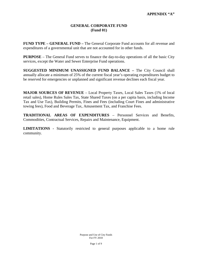#### **GENERAL CORPORATE FUND (Fund 01)**

**FUND TYPE – GENERAL FUND –** The General Corporate Fund accounts for all revenue and expenditures of a governmental unit that are not accounted for in other funds.

**PURPOSE** – The General Fund serves to finance the day-to-day operations of all the basic City services, except the Water and Sewer Enterprise Fund operations.

**SUGGESTED MINIMUM UNASSIGNED FUND BALANCE –** The City Council shall annually allocate a minimum of 25% of the current fiscal year's operating expenditures budget to be reserved for emergencies or unplanned and significant revenue declines each fiscal year.

**MAJOR SOURCES OF REVENUE** – Local Property Taxes, Local Sales Taxes (1% of local retail sales), Home Rules Sales Tax, State Shared Taxes (on a per capita basis, including Income Tax and Use Tax), Building Permits, Fines and Fees (including Court Fines and administrative towing fees), Food and Beverage Tax, Amusement Tax, and Franchise Fees.

**TRADITIONAL AREAS OF EXPENDITURES** – Personnel Services and Benefits, Commodities, Contractual Services, Repairs and Maintenance, Equipment.

**LIMITATIONS -** Statutorily restricted to general purposes applicable to a home rule community.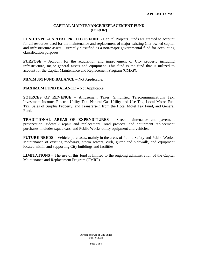#### **CAPITAL MAINTENANCE/REPLACEMENT FUND (Fund 02)**

**FUND TYPE –CAPITAL PROJECTS FUND -** Capital Projects Funds are created to account for all resources used for the maintenance and replacement of major existing City owned capital and infrastructure assets. Currently classified as a non-major governmental fund for accounting classification purposes.

**PURPOSE** – Account for the acquisition and improvement of City property including infrastructure, major general assets and equipment. This fund is the fund that is utilized to account for the Capital Maintenance and Replacement Program (CMRP).

**MINIMUM FUND BALANCE –** Not Applicable**.**

**MAXIMUM FUND BALANCE** – Not Applicable.

**SOURCES OF REVENUE** – Amusement Taxes, Simplified Telecommunications Tax, Investment Income, Electric Utility Tax, Natural Gas Utility and Use Tax, Local Motor Fuel Tax, Sales of Surplus Property, and Transfers-in from the Hotel Motel Tax Fund, and General Fund.

**TRADITIONAL AREAS OF EXPENDITURES** – Street maintenance and pavement preservation, sidewalk repair and replacement, road projects, and equipment replacement purchases, includes squad cars, and Public Works utility equipment and vehicles.

**FUTURE NEEDS** – Vehicle purchases, mainly in the areas of Public Safety and Public Works. Maintenance of existing roadways, storm sewers, curb, gutter and sidewalk, and equipment located within and supporting City buildings and facilities.

**LIMITATIONS** – The use of this fund is limited to the ongoing administration of the Capital Maintenance and Replacement Program (CMRP).

> Purpose and Use of City Funds For FY 2018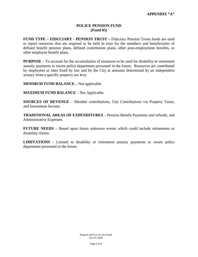#### **POLICE PENSION FUND (Fund 05)**

**FUND TYPE – FIDUCIARY - PENSION TRUST –** Fiduciary Pension Trusts funds are used to report resources that are required to be held in trust for the members and beneficiaries of defined benefit pension plans, defined contribution plans, other post-employment benefits, or other employee benefit plans.

**PURPOSE** – To account for the accumulation of resources to be used for disability or retirement annuity payments to sworn police department personnel in the future. Resources are contributed by employees at rates fixed by law and by the City at amounts determined by an independent actuary from a specific property tax levy.

**MINIMUM FUND BALANCE –** Not applicable.

**MAXIMUM FUND BALANCE – Not Applicable.** 

**SOURCES OF REVENUE** – Member contributions, City Contributions via Property Taxes, and Investment Income.

**TRADITIONAL AREAS OF EXPENDITURES** – Pension Benefit Payments and refunds, and Administrative Expenses.

**FUTURE NEEDS** – Based upon future unknown events which could include retirements or disability claims.

**LIMITATIONS -** Limited to disability or retirement annuity payments to sworn police department personnel in the future.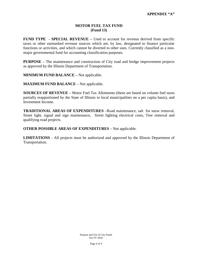#### **MOTOR FUEL TAX FUND (Fund 13)**

**FUND TYPE - SPECIAL REVENUE –** Used to account for revenue derived from specific taxes or other earmarked revenue sources which are, by law, designated to finance particular functions or activities, and which cannot be diverted to other uses. Currently classified as a nonmajor governmental fund for accounting classification purposes.

**PURPOSE** – The maintenance and construction of City road and bridge improvement projects as approved by the Illinois Department of Transportation.

**MINIMUM FUND BALANCE –** Not applicable.

**MAXIMUM FUND BALANCE** – Not applicable.

**SOURCES OF REVENUE** – Motor Fuel Tax Allotments (these are based on volume fuel taxes partially reapportioned by the State of Illinois to local municipalities on a per capita basis), and Investment Income.

**TRADITIONAL AREAS OF EXPENDITURES** –Road maintenance, salt for snow removal, Street light, signal and sign maintenance, Street lighting electrical costs, Tree removal and qualifying road projects.

**OTHER POSSIBLE AREAS OF EXPENDITURES** – Not applicable.

**LIMITATIONS** - All projects must be authorized and approved by the Illinois Department of Transportation.

> Purpose and Use of City Funds For FY 2018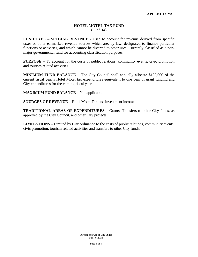#### **HOTEL MOTEL TAX FUND** (Fund 14)

**FUND TYPE – SPECIAL REVENUE -** Used to account for revenue derived from specific taxes or other earmarked revenue sources which are, by law, designated to finance particular functions or activities, and which cannot be diverted to other uses. Currently classified as a nonmajor governmental fund for accounting classification purposes.

**PURPOSE** – To account for the costs of public relations, community events, civic promotion and tourism related activities.

**MINIMUM FUND BALANCE** – The City Council shall annually allocate \$100,000 of the current fiscal year's Hotel Motel tax expenditures equivalent to one year of grant funding and City expenditures for the coming fiscal year.

**MAXIMUM FUND BALANCE –** Not applicable.

**SOURCES OF REVENUE** – Hotel Motel Tax and investment income.

**TRADITIONAL AREAS OF EXPENDITURES –** Grants, Transfers to other City funds, as approved by the City Council, and other City projects.

**LIMITATIONS** – Limited by City ordinance to the costs of public relations, community events, civic promotion, tourism related activities and transfers to other City funds.

> Purpose and Use of City Funds For FY 2018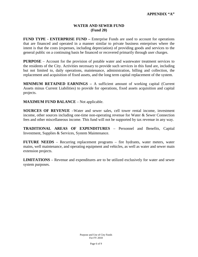#### **WATER AND SEWER FUND (Fund 20)**

**FUND TYPE - ENTERPRISE FUND –** Enterprise Funds are used to account for operations that are financed and operated in a manner similar to private business enterprises where the intent is that the costs (expenses, including depreciation) of providing goods and services to the general public on a continuing basis be financed or recovered primarily through user charges.

**PURPOSE** – Account for the provision of potable water and wastewater treatment services to the residents of the City. Activities necessary to provide such services in this fund are, including but not limited to, daily operations, maintenance, administration, billing and collection, the replacement and acquisition of fixed assets, and the long term capital replacement of the system.

**MINIMUM RETAINED EARNINGS –** A sufficient amount of working capital (Current Assets minus Current Liabilities) to provide for operations, fixed assets acquisition and capital projects.

**MAXIMUM FUND BALANCE** – Not applicable.

**SOURCES OF REVENUE** –Water and sewer sales, cell tower rental income, investment income, other sources including one-time non-operating revenue for Water & Sewer Connection fees and other miscellaneous income. This fund will not be supported by tax revenue in any way.

**TRADITIONAL AREAS OF EXPENDITURES** – Personnel and Benefits, Capital Investment, Supplies & Services, System Maintenance.

**FUTURE NEEDS** – Recurring replacement programs – fire hydrants, water meters, water mains, well maintenance, and operating equipment and vehicles, as well as water and sewer main extension projects.

**LIMITATIONS** – Revenue and expenditures are to be utilized exclusively for water and sewer system purposes.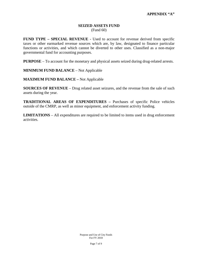#### **SEIZED ASSETS FUND** (Fund 60)

**FUND TYPE – SPECIAL REVENUE -** Used to account for revenue derived from specific taxes or other earmarked revenue sources which are, by law, designated to finance particular functions or activities, and which cannot be diverted to other uses. Classified as a non-major governmental fund for accounting purposes.

**PURPOSE** – To account for the monetary and physical assets seized during drug-related arrests.

**MINIMUM FUND BALANCE** – Not Applicable

**MAXIMUM FUND BALANCE –** Not Applicable

**SOURCES OF REVENUE** – Drug related asset seizures, and the revenue from the sale of such assets during the year.

**TRADITIONAL AREAS OF EXPENDITURES –** Purchases of specific Police vehicles outside of the CMRP, as well as minor equipment, and enforcement activity funding.

**LIMITATIONS** – All expenditures are required to be limited to items used in drug enforcement activities.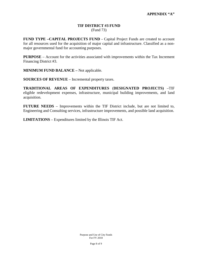#### **TIF DISTRICT #3 FUND** (Fund 73)

**FUND TYPE –CAPITAL PROJECTS FUND -** Capital Project Funds are created to account for all resources used for the acquisition of major capital and infrastructure. Classified as a nonmajor governmental fund for accounting purposes.

**PURPOSE** – Account for the activities associated with improvements within the Tax Increment Financing District #3.

**MINIMUM FUND BALANCE –** Not applicable.

**SOURCES OF REVENUE** – Incremental property taxes.

**TRADITIONAL AREAS OF EXPENDITURES** (**DESIGNATED PROJECTS)** –TIF eligible redevelopment expenses, infrastructure, municipal building improvements, and land acquisition.

**FUTURE NEEDS** – Improvements within the TIF District include, but are not limited to, Engineering and Consulting services, infrastructure improvements, and possible land acquisition.

**LIMITATIONS** – Expenditures limited by the Illinois TIF Act.

Purpose and Use of City Funds For FY 2018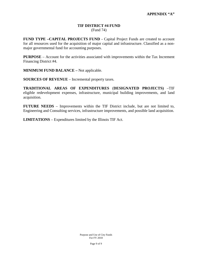#### **TIF DISTRICT #4 FUND** (Fund 74)

**FUND TYPE –CAPITAL PROJECTS FUND -** Capital Project Funds are created to account for all resources used for the acquisition of major capital and infrastructure. Classified as a nonmajor governmental fund for accounting purposes.

**PURPOSE** – Account for the activities associated with improvements within the Tax Increment Financing District #4.

**MINIMUM FUND BALANCE –** Not applicable.

**SOURCES OF REVENUE** – Incremental property taxes.

**TRADITIONAL AREAS OF EXPENDITURES** (**DESIGNATED PROJECTS)** –TIF eligible redevelopment expenses, infrastructure, municipal building improvements, and land acquisition.

**FUTURE NEEDS** – Improvements within the TIF District include, but are not limited to, Engineering and Consulting services, infrastructure improvements, and possible land acquisition.

**LIMITATIONS** – Expenditures limited by the Illinois TIF Act.

Purpose and Use of City Funds For FY 2018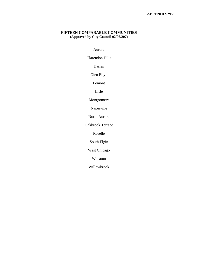#### **APPENDIX "B"**

#### **FIFTEEN COMPARABLE COMMUNITIES (Approved by City Council 02/06/207)**

Aurora

Clarendon Hills

Darien

Glen Ellyn

Lemont

Lisle

Montgomery

Naperville

North Aurora

Oakbrook Terrace

Roselle

South Elgin

West Chicago

Wheaton

Willowbrook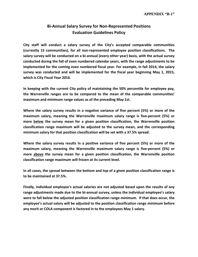# **Bi-Annual Salary Survey for Non-Represented Positions Evaluation Guidelines Policy**

**City staff will conduct a salary survey of the City's accepted comparable communities (currently 15 communities), for all non-represented employee position classifications. The salary survey will be conducted on a bi-annual (every other year) basis, with the actual survey conducted during the fall of even numbered calendar years, with the range adjustments to be implemented for the coming even numbered fiscal year. For example, in fall 2014, the salary survey was conducted and will be implemented for the fiscal year beginning May 1, 2015, which is City Fiscal Year 2016.**

**In keeping with the current City policy of maintaining the 50% percentile for employee pay, the Warrenville ranges are to be compared to the mean of the comparable communities' maximum and minimum range values as of the preceding May 1st.**

**Where the salary survey results in a negative variance of five percent (5%) or more of the maximum salary, meaning the Warrenville maximum salary range is five-percent (5%) or more below the survey mean for a given position classification, the Warrenville position classification range maximum will be adjusted to the survey mean, and the corresponding minimum salary for that position classification will be set with a 37.5% spread.** 

**Where the salary survey results in a positive variance of five percent (5%) or more of the maximum salary, meaning the Warrenville maximum salary range is five-percent (5%) or more above the survey mean for a given position classification, the Warrenville position classification range maximum will frozen at its current level.** 

**In all cases, the spread between the bottom and top of a given position classification range is to be maintained at 37.5%.**

**Finally, individual employee's actual salaries are not adjusted based upon the results of any range adjustments made due to the bi-annual survey, unless the individual employee's salary were to fall below the adjusted position classification range minimum. If that does occur, the employee's actual salary will be adjusted to the position classification range minimum before any merit or COLA component is factored in to the employees May 1 salary.**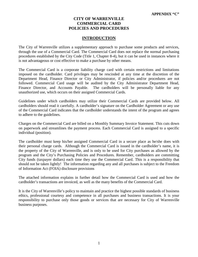#### **CITY OF WARRENVILLE COMMERCIAL CARD POLICIES AND PROCEDURES**

#### **INTRODUCTION**

The City of Warrenville utilizes a supplementary approach to purchase some products and services, through the use of a Commercial Card. The Commercial Card does not replace the normal purchasing procedures established by the City Code (Title 1, Chapter 8-4), but it can be used in instances where it is not advantageous or cost effective to make a purchase by other means.

The Commercial Card is a corporate liability charge card with certain restrictions and limitations imposed on the cardholder. Card privileges may be rescinded at any time at the discretion of the Department Head, Finance Director or City Administrator, if policies and/or procedures are not followed. Commercial Card usage will be audited by the City Administrator Department Head, Finance Director, and Accounts Payable. The cardholders will be personally liable for any unauthorized use, which occurs on their assigned Commercial Cards.

Guidelines under which cardholders may utilize their Commercial Cards are provided below. All cardholders should read it carefully. A cardholder's signature on the Cardholder Agreement or any use of the Commercial Card indicates that the cardholder understands the intent of the program and agrees to adhere to the guidelines.

Charges on the Commercial Card are billed on a Monthly Summary Invoice Statement. This cuts down on paperwork and streamlines the payment process. Each Commercial Card is assigned to a specific individual (position).

The cardholder must keep his/her assigned Commercial Card in a secure place as he/she does with their personal charge cards. Although the Commercial Card is issued in the cardholder's name, it is the property of the City of Warrenville, and is only to be used for City purchases as allowed by the program and the City's Purchasing Policies and Procedures. Remember, cardholders are committing City funds (taxpayer dollars) each time they use the Commercial Card. This is a responsibility that should not be taken lightly! The information regarding any and all purchases is subject to the Freedom of Information Act (FOIA) disclosure provisions

The attached information explains in further detail how the Commercial Card is used and how the cardholder's transactions are invoiced, as well as the many benefits of the Commercial Card.

It is the City of Warrenville's policy to maintain and practice the highest possible standards of business ethics, professional courtesy and competence in all purchases and business transactions. It is your responsibility to purchase only those goods or services that are necessary for City of Warrenville business purposes.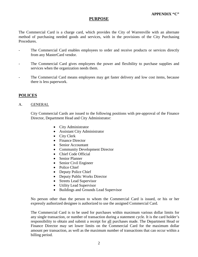#### **PURPOSE**

The Commercial Card is a charge card, which provides the City of Warrenville with an alternate method of purchasing needed goods and services, with in the provisions of the City Purchasing Procedures.

- The Commercial Card enables employees to order and receive products or services directly from any MasterCard vendor.
- The Commercial Card gives employees the power and flexibility to purchase supplies and services when the organization needs them.
- The Commercial Card means employees may get faster delivery and low cost items, because there is less paperwork.

#### **POLICES**

#### A. GENERAL

City Commercial Cards are issued to the following positions with pre-approval of the Finance Director, Department Head and City Administrator:

- City Administrator
- Assistant City Administrator
- City Clerk
- Finance Director
- Senior Accountant
- Community Development Director
- Chief Code Official
- Senior Planner
- Senior Civil Engineer
- Police Chief
- Deputy Police Chief
- Deputy Public Works Director
- Streets Lead Supervisor
- Utility Lead Supervisor
- Buildings and Grounds Lead Supervisor

No person other than the person to whom the Commercial Card is issued, or his or her expressly authorized designee is authorized to use the assigned Commercial Card.

The Commercial Card is to be used for purchases within maximum various dollar limits for any single transaction, or number of transaction during a statement cycle. It is the card holder's responsibility to obtain and submit a receipt for all purchases made. The Department Head or Finance Director may set lower limits on the Commercial Card for the maximum dollar amount per transaction, as well as the maximum number of transactions that can occur within a billing period.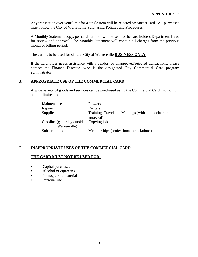Any transaction over your limit for a single item will be rejected by MasterCard. All purchases must follow the City of Warrenville Purchasing Policies and Procedures.

A Monthly Statement copy, per card number, will be sent to the card holders Department Head for review and approval. The Monthly Statement will contain all charges from the previous month or billing period.

The card is to be used for official City of Warrenville **BUSINESS ONLY.**

If the cardholder needs assistance with a vendor, or unapproved/rejected transactions, please contact the Finance Director, who is the designated City Commercial Card program administrator.

#### B. **APPROPRIATE USE OF THE COMMERCIAL CARD**

A wide variety of goods and services can be purchased using the Commercial Card, including, but not limited to:

| Maintenance                              | <b>Flowers</b>                                       |
|------------------------------------------|------------------------------------------------------|
| Repairs                                  | Rentals                                              |
| <b>Supplies</b>                          | Training, Travel and Meetings (with appropriate pre- |
|                                          | approval)                                            |
| Gasoline (generally outside Copying jobs |                                                      |
| Warrenville)                             |                                                      |
| Subscriptions                            | Memberships (professional associations)              |

#### C. **INAPPROPRIATE USES OF THE COMMERCIAL CARD**

#### **THE CARD MUST NOT BE USED FOR:**

- Capital purchases
- Alcohol or cigarettes
- Pornographic material
- Personal use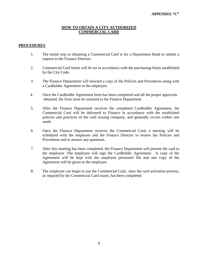#### **HOW TO OBTAIN A CITY AUTHORIZED COMMERCIAL CARD**

#### **PROCEDURES**

- 1. The initial step in obtaining a Commercial Card is for a Department Head to submit a request to the Finance Director.
- 2. Commercial Card limits will be set in accordance with the purchasing limits established by the City Code.
- 3. The Finance Department will forward a copy of the Policies and Procedures along with a Cardholder Agreement to the employee.
- 4. Once the Cardholder Agreement form has been completed and all the proper approvals obtained, the form must be returned to the Finance Department.
- 5. After the Finance Department receives the completed Cardholder Agreement, the Commercial Card will be delivered to Finance in accordance with the established policies and practices of the card issuing company, and generally occurs within one week.
- 6. Once the Finance Department receives the Commercial Card, a meeting will be scheduled with the employee and the Finance Director to review the Policies and Procedures and to answer any questions.
- 7. After this meeting has been completed, the Finance Department will present the card to the employee. The employee will sign the Cardholder Agreement. A copy of the Agreement will be kept with the employee personnel file and one copy of the Agreement will be given to the employee.
- 8. The employee can begin to use the Commercial Card., once the card activation process, as required by the Commercial Card issuer, has been completed.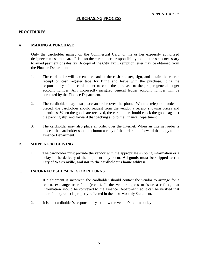#### **PROCEDURES**

#### A. **MAKING A PURCHASE**

Only the cardholder named on the Commercial Card, or his or her expressly authorized designee can use that card. It is also the cardholder's responsibility to take the steps necessary to avoid payment of sales tax. A copy of the City Tax Exemption letter may be obtained from the Finance Department.

- 1. The cardholder will present the card at the cash register, sign, and obtain the charge receipt or cash register tape for filing and leave with the purchase. It is the responsibility of the card holder to code the purchase to the proper general ledger account number. Any incorrectly assigned general ledger account number will be corrected by the Finance Department.
- 2. The cardholder may also place an order over the phone. When a telephone order is placed, the cardholder should request from the vendor a receipt showing prices and quantities. When the goods are received, the cardholder should check the goods against the packing slip, and forward that packing slip to the Finance Department.
- 3. The cardholder may also place an order over the Internet. When an Internet order is placed, the cardholder should printout a copy of the order, and forward that copy to the Finance Department.

#### B. **SHIPPING/RECEIVING**

1. The cardholder must provide the vendor with the appropriate shipping information or a delay in the delivery of the shipment may occur. **All goods must be shipped to the City of Warrenville, and not to the cardholder's home address.**

#### C. **INCORRECT SHIPMENTS OR RETURNS**

- 1. If a shipment is incorrect, the cardholder should contact the vendor to arrange for a return, exchange or refund (credit). If the vendor agrees to issue a refund, that information should be conveyed to the Finance Department, so it can be verified that the refund (credit) is properly reflected in the next Monthly Statement.
- 2. It is the cardholder's responsibility to know the vendor's return policy.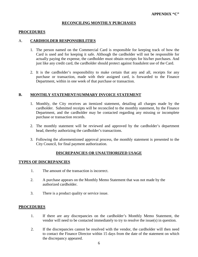#### **RECONCILING MONTHLY PURCHASES**

#### **PROCEDURES**

#### A. **CARDHOLDER RESPONSIBILITIES**

- 1. The person named on the Commercial Card is responsible for keeping track of how the Card is used and for keeping it safe. Although the cardholder will not be responsible for actually paying the expense, the cardholder must obtain receipts for his/her purchases. And just like any credit card, the cardholder should protect against fraudulent use of the Card.
- 2. It is the cardholder's responsibility to make certain that any and all, receipts for any purchase or transaction, made with their assigned card, is forwarded to the Finance Department, within in one week of that purchase or transaction.

#### **B. MONTHLY STATEMENT/SUMMARY INVOICE STATEMENT**

- 1. Monthly, the City receives an itemized statement, detailing all charges made by the cardholder. Submitted receipts will be reconciled to the monthly statement, by the Finance Department, and the cardholder may be contacted regarding any missing or incomplete purchase or transaction records.
- 2. The monthly statement will be reviewed and approved by the cardholder's department head, thereby authorizing the cardholder's transactions.
- 3. Following the aforementioned approval process, the monthly statement is presented to the City Council, for final payment authorization.

#### **DISCREPANCIES OR UNAUTHORIZED USAGE**

#### **TYPES OF DISCREPANCIES**

- 1. The amount of the transaction is incorrect.
- 2. A purchase appears on the Monthly Memo Statement that was not made by the authorized cardholder.
- 3. There is a product quality or service issue.

#### **PROCEDURES**

- 1. If there are any discrepancies on the cardholder's Monthly Memo Statement, the vendor will need to be contacted immediately to try to resolve the issue(s) in question.
- 2. If the discrepancies cannot be resolved with the vendor, the cardholder will then need to contact the Finance Director within 15 days from the date of the statement on which the discrepancy appeared.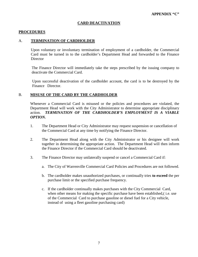#### **CARD DEACTIVATION**

#### **PROCEDURES**

#### A. **TERMINATION OF CARDHOLDER**

Upon voluntary or involuntary termination of employment of a cardholder, the Commercial Card must be turned in to the cardholder's Department Head and forwarded to the Finance **Director** 

The Finance Director will immediately take the steps prescribed by the issuing company to deactivate the Commercial Card.

Upon successful deactivation of the cardholder account, the card is to be destroyed by the Finance Director.

#### B. **MISUSE OF THE CARD BY THE CARDHOLDER**

Whenever a Commercial Card is misused or the policies and procedures are violated, the Department Head will work with the City Administrator to determine appropriate disciplinary action. *TERMINATION OF THE CARDHOLDER'S EMPLOYMENT IS A VIABLE OPTION.*

- 1. The Department Head or City Administrator may request suspension or cancellation of the Commercial Card at any time by notifying the Finance Director.
- 2. The Department Head along with the City Administrator or his designee will work together in determining the appropriate action. The Department Head will then inform the Finance Director if the Commercial Card should be deactivated.
- 3. The Finance Director may unilaterally suspend or cancel a Commercial Card if:
	- a. The City of Warrenville Commercial Card Policies and Procedures are not followed.
	- b. The cardholder makes unauthorized purchases, or continually tries **to exceed** the per purchase limit or the specified purchase frequency.
	- c. If the cardholder continually makes purchases with the City Commercial Card, when other means for making the specific purchase have been established, (*i.e.* use of the Commercial Card to purchase gasoline or diesel fuel for a City vehicle, instead of using a fleet gasoline purchasing card)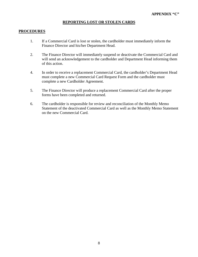#### **REPORTING LOST OR STOLEN CARDS**

#### **PROCEDURES**

- 1. If a Commercial Card is lost or stolen, the cardholder must immediately inform the Finance Director and his/her Department Head.
- 2. The Finance Director will immediately suspend or deactivate the Commercial Card and will send an acknowledgement to the cardholder and Department Head informing them of this action.
- 4. In order to receive a replacement Commercial Card, the cardholder's Department Head must complete a new Commercial Card Request Form and the cardholder must complete a new Cardholder Agreement.
- 5. The Finance Director will produce a replacement Commercial Card after the proper forms have been completed and returned.
- 6. The cardholder is responsible for review and reconciliation of the Monthly Memo Statement of the deactivated Commercial Card as well as the Monthly Memo Statement on the new Commercial Card.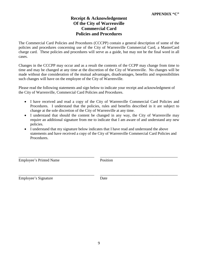### **Receipt & Acknowledgement Of the City of Warrenville Commercial Card Policies and Procedures**

The Commercial Card Policies and Procedures (CCCPP) contain a general description of some of the policies and procedures concerning use of the City of Warrenville Commercial Card, a MasterCard charge card. These policies and procedures will serve as a guide, but may not be the final word in all cases.

Changes in the CCCPP may occur and as a result the contents of the CCPP may change from time to time and may be changed at any time at the discretion of the City of Warrenville. No changes will be made without due consideration of the mutual advantages, disadvantages, benefits and responsibilities such changes will have on the employee of the City of Warrenville.

Please read the following statements and sign below to indicate your receipt and acknowledgment of the City of Warrenville, Commercial Card Policies and Procedures.

- I have received and read a copy of the City of Warrenville Commercial Card Policies and Procedures. I understand that the policies, rules and benefits described in it are subject to change at the sole discretion of the City of Warrenville at any time.
- I understand that should the content be changed in any way, the City of Warrenville may require an additional signature from me to indicate that I am aware of and understand any new policies.
- I understand that my signature below indicates that I have read and understand the above statements and have received a copy of the City of Warrenville Commercial Card Policies and Procedures.

\_\_\_\_\_\_\_\_\_\_\_\_\_\_\_\_\_\_\_\_\_\_\_\_\_\_\_\_\_\_\_\_\_\_\_\_\_\_\_ \_\_\_\_\_\_\_\_\_\_\_\_\_\_\_\_\_\_\_\_\_\_\_\_\_\_\_\_\_\_\_\_\_\_\_\_\_\_\_\_

Employee's Printed Name Position

Employee's Signature Date

\_\_\_\_\_\_\_\_\_\_\_\_\_\_\_\_\_\_\_\_\_\_\_\_\_\_\_\_\_\_\_\_\_\_\_\_\_\_\_ \_\_\_\_\_\_\_\_\_\_\_\_\_\_\_\_\_\_\_\_\_\_\_\_\_\_\_\_\_\_\_\_\_\_\_\_\_\_\_\_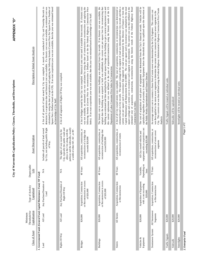| Description of Initial Asset Analysis      | calculated by using the date of acquisition and applying the following formula (Current Price Per Square Foot x Number of<br>A list of all parcels of land owned by City was compiled. A search was conducted of City and Township Records to<br>determine if a acquisition date and historical cost was available. If a historic cost was not available, an estimated cost was<br>Square Feet x Deflator based on the CPI). If an exact acquisition year was not available, then the year was estimated based<br>on knowledge of City Staff. | A list of all segments of Rights Of Way was compiled.                                                                                                                                    | A list of bridges owned by the City was compiled. Historical costs were used if available from records. If a historic cost<br>was not available, an estimated cost was calculated by using the date of construction or reconstruction and applying the<br>following formula (Current Price for reconstruction x Deflator based on the the Federal Highway Construction Price<br>Index). If an exact acquisition year was not available, then the year was estimated based on knowledge of City Staff. | The historic cost to acquire or construct buildings was obtained from City records. If no historic cost was available, the<br>original date the building was acquired or built was established, the current cost per square foot for reconstructing that<br>building was estimated and then multiplied by the total square footage of the building to get a current replacement cost and<br>this current replacement cost was deflated to the year of acquisition/construction using the historic trends of the US<br>Department of Labor Consumer Price Index for Construction. | estimated based on City records. The square yardage of the segment of road was determined from City records and then a<br>A list of all City owned streets was compiled. The year of acquisition, construction, or reconstruction was determined or<br>current cost per square yard to reconstruct that segment of road was determined by the Director of Finance or from the<br>square yardage and a current cost to reconstruct each segment was determined. This current cost was then deflated to the<br>estimated year of acquisition, construction, reconstruction using the historic trends of the Federal Highway Road<br>Capital Maintenance and Replacement Plan (CMRP). The cost per square yard to reconstruct was multiplied by the total<br>Construction Cost Index. | capitalized regardless of proximity to threshold. Equipment below the threshold may be capitlized upon the discretion of<br>The cost of acquisition of each piece of equipment was determined from the City's financial records. Vehicles will be<br>the Public Works Superintendent and Finance Director. | City. This current cost was then deflated using the Federal Highway Administration's Highway Construction Price Trends<br>An average current cost to construct a linear foot of storm sewer was determined by the City Engineer. This current cost<br>was then applied to the storm sewer segments to determine the current cost to construct the storm sewer segments in the<br>Analysis | Traffic Signals will be treated as individual units. | Sidewalks will be capitalized | Streetlights will be treated as individual units. | Page 1 of 2        |
|--------------------------------------------|-----------------------------------------------------------------------------------------------------------------------------------------------------------------------------------------------------------------------------------------------------------------------------------------------------------------------------------------------------------------------------------------------------------------------------------------------------------------------------------------------------------------------------------------------|------------------------------------------------------------------------------------------------------------------------------------------------------------------------------------------|-------------------------------------------------------------------------------------------------------------------------------------------------------------------------------------------------------------------------------------------------------------------------------------------------------------------------------------------------------------------------------------------------------------------------------------------------------------------------------------------------------|----------------------------------------------------------------------------------------------------------------------------------------------------------------------------------------------------------------------------------------------------------------------------------------------------------------------------------------------------------------------------------------------------------------------------------------------------------------------------------------------------------------------------------------------------------------------------------|------------------------------------------------------------------------------------------------------------------------------------------------------------------------------------------------------------------------------------------------------------------------------------------------------------------------------------------------------------------------------------------------------------------------------------------------------------------------------------------------------------------------------------------------------------------------------------------------------------------------------------------------------------------------------------------------------------------------------------------------------------------------------------|------------------------------------------------------------------------------------------------------------------------------------------------------------------------------------------------------------------------------------------------------------------------------------------------------------|-------------------------------------------------------------------------------------------------------------------------------------------------------------------------------------------------------------------------------------------------------------------------------------------------------------------------------------------------------------------------------------------|------------------------------------------------------|-------------------------------|---------------------------------------------------|--------------------|
| <b>Asset Description</b>                   | by City, not including public Right<br>Includes all parcels of land owned<br>of Way                                                                                                                                                                                                                                                                                                                                                                                                                                                           | parkway and the sidewalks, usually<br>City, typically the public roads and<br>alleys in the City along with the<br>The rights of way owned by the<br>a width of either 60', 66', or 80'. | All acquisitions, construction, or<br>reconstruction of a bridge that<br>exceeds \$20,000                                                                                                                                                                                                                                                                                                                                                                                                             | All acquisitions, construction, or<br>reconstruction of buildings that<br>xceed \$20,000                                                                                                                                                                                                                                                                                                                                                                                                                                                                                         | All acquisitions, construction, or<br>reconstruction of streets                                                                                                                                                                                                                                                                                                                                                                                                                                                                                                                                                                                                                                                                                                                    | with an acquisition cost<br>All City owned vehicles and<br>exceeding \$20,000<br>equipment                                                                                                                                                                                                                 | All acquisitions, construction, or<br>reconstruction of storm sewer<br>segments                                                                                                                                                                                                                                                                                                           |                                                      |                               |                                                   |                    |
| Depreciable<br>Life                        | $\stackrel{\triangle}{\geq}$                                                                                                                                                                                                                                                                                                                                                                                                                                                                                                                  | $\sum_{i=1}^{n}$                                                                                                                                                                         | 40 Years                                                                                                                                                                                                                                                                                                                                                                                                                                                                                              | 40 Years                                                                                                                                                                                                                                                                                                                                                                                                                                                                                                                                                                         | 60 Years                                                                                                                                                                                                                                                                                                                                                                                                                                                                                                                                                                                                                                                                                                                                                                           | Depending on<br>Variable,<br>Item                                                                                                                                                                                                                                                                          | 75 Years                                                                                                                                                                                                                                                                                                                                                                                  |                                                      |                               |                                                   |                    |
| Type of Activity<br>apitalized             | 1. Governmental Funds (General Fund, Capital Maintenance Fund, TIF Fund)<br>Any Purchase/Donation of<br>Land                                                                                                                                                                                                                                                                                                                                                                                                                                  | Any Purchase/Donation of<br>Right-Of-Way                                                                                                                                                 | or Reconstruction in excess<br>Acquisition, Construction<br>of \$20,000                                                                                                                                                                                                                                                                                                                                                                                                                               | or Reconstruction in excess<br>Acquisition, Construction<br>of \$20,000                                                                                                                                                                                                                                                                                                                                                                                                                                                                                                          | Acquisition, Construction<br>or Reconstruction                                                                                                                                                                                                                                                                                                                                                                                                                                                                                                                                                                                                                                                                                                                                     | Acquisition of Equipment<br>with a cost exceeding<br>\$20,000                                                                                                                                                                                                                                              | Acquisition, Construction<br>or Reconstruction                                                                                                                                                                                                                                                                                                                                            |                                                      |                               |                                                   |                    |
| Capitalization<br>Threshold for<br>Minimum | All Land                                                                                                                                                                                                                                                                                                                                                                                                                                                                                                                                      | All Land                                                                                                                                                                                 | \$20,000                                                                                                                                                                                                                                                                                                                                                                                                                                                                                              | \$20,000                                                                                                                                                                                                                                                                                                                                                                                                                                                                                                                                                                         | All Streets                                                                                                                                                                                                                                                                                                                                                                                                                                                                                                                                                                                                                                                                                                                                                                        | \$20,000                                                                                                                                                                                                                                                                                                   | All Stormsewer<br>Segments                                                                                                                                                                                                                                                                                                                                                                | \$20,000                                             | \$20,000                      | \$20,000                                          |                    |
| Class of Asset                             | Land                                                                                                                                                                                                                                                                                                                                                                                                                                                                                                                                          | Rights-Of-Way                                                                                                                                                                            | <b>Bridges</b>                                                                                                                                                                                                                                                                                                                                                                                                                                                                                        | <b>Buildings</b>                                                                                                                                                                                                                                                                                                                                                                                                                                                                                                                                                                 | Streets                                                                                                                                                                                                                                                                                                                                                                                                                                                                                                                                                                                                                                                                                                                                                                            | Vehicles &<br>Equipment                                                                                                                                                                                                                                                                                    | Stormsewer System                                                                                                                                                                                                                                                                                                                                                                         | Traffic Signals                                      | Sidewalk                      | Streetlights                                      | 2. Enterprise Fund |

**APPENDIX "D"**

APPENDIX "D"

**City of Warrenville Capitalization Policy: Classes, Thresholds, and Descriptions**

City of Warrenville Capitalization Policy: Classes, Thresholds, and Descriptions